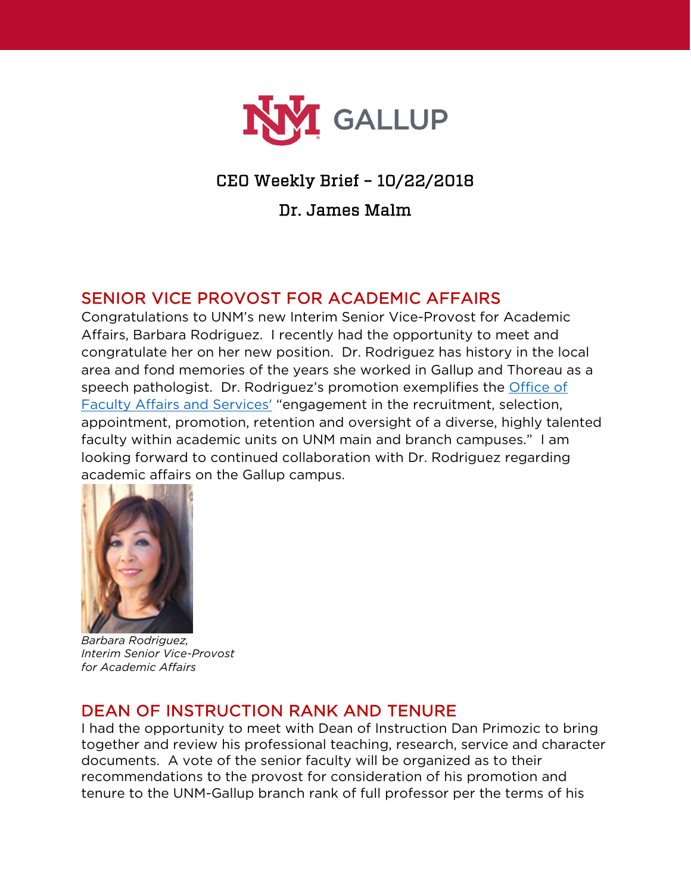

# CEO Weekly Brief – 10/22/2018

Dr. James Malm

### SENIOR VICE PROVOST FOR ACADEMIC AFFAIRS

Congratulations to UNM's new Interim Senior Vice-Provost for Academic Affairs, Barbara Rodriguez. I recently had the opportunity to meet and congratulate her on her new position. Dr. Rodriguez has history in the local area and fond memories of the years she worked in Gallup and Thoreau as a speech pathologist. Dr. Rodriguez's promotion exemplifies the [Office of](http://ofas.unm.edu/)  [Faculty Affairs and Services'](http://ofas.unm.edu/) "engagement in the recruitment, selection, appointment, promotion, retention and oversight of a diverse, highly talented faculty within academic units on UNM main and branch campuses." I am looking forward to continued collaboration with Dr. Rodriguez regarding academic affairs on the Gallup campus.



*Barbara Rodriguez, Interim Senior Vice-Provost for Academic Affairs*

### DEAN OF INSTRUCTION RANK AND TENURE

I had the opportunity to meet with Dean of Instruction Dan Primozic to bring together and review his professional teaching, research, service and character documents. A vote of the senior faculty will be organized as to their recommendations to the provost for consideration of his promotion and tenure to the UNM-Gallup branch rank of full professor per the terms of his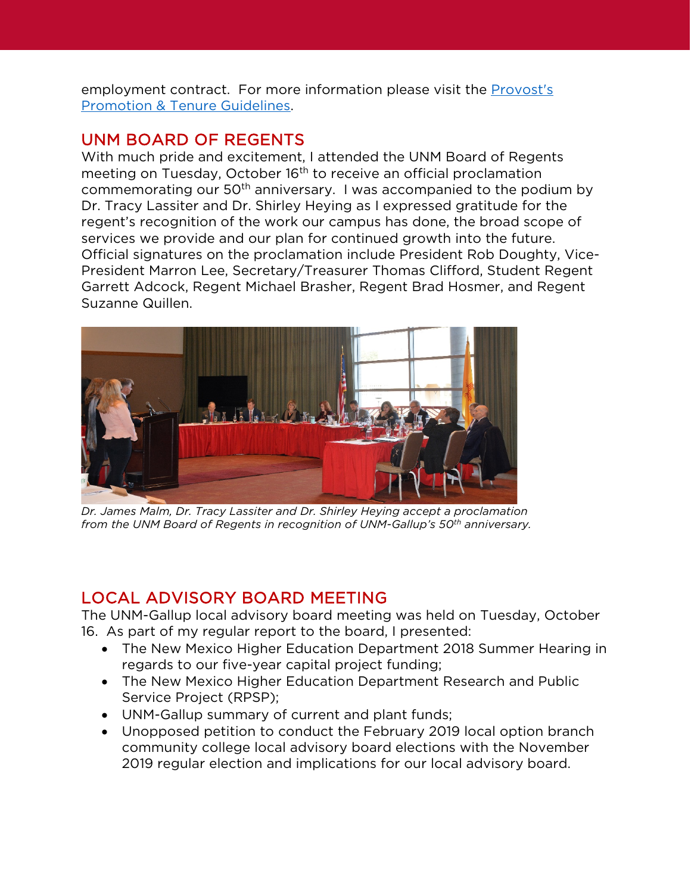employment contract. For more information please visit the [Provost's](http://ofas.unm.edu/faculty/rpt_guidelines/provosts-promotion--tenure-guidelines/index.html)  [Promotion & Tenure Guidelines.](http://ofas.unm.edu/faculty/rpt_guidelines/provosts-promotion--tenure-guidelines/index.html)

### UNM BOARD OF REGENTS

With much pride and excitement, I attended the UNM Board of Regents meeting on Tuesday, October 16<sup>th</sup> to receive an official proclamation commemorating our 50<sup>th</sup> anniversary. I was accompanied to the podium by Dr. Tracy Lassiter and Dr. Shirley Heying as I expressed gratitude for the regent's recognition of the work our campus has done, the broad scope of services we provide and our plan for continued growth into the future. Official signatures on the proclamation include President Rob Doughty, Vice-President Marron Lee, Secretary/Treasurer Thomas Clifford, Student Regent Garrett Adcock, Regent Michael Brasher, Regent Brad Hosmer, and Regent Suzanne Quillen.



*Dr. James Malm, Dr. Tracy Lassiter and Dr. Shirley Heying accept a proclamation from the UNM Board of Regents in recognition of UNM-Gallup's 50th anniversary.*

## LOCAL ADVISORY BOARD MEETING

The UNM-Gallup local advisory board meeting was held on Tuesday, October 16. As part of my regular report to the board, I presented:

- The New Mexico Higher Education Department 2018 Summer Hearing in regards to our five-year capital project funding;
- The New Mexico Higher Education Department Research and Public Service Project (RPSP);
- UNM-Gallup summary of current and plant funds;
- Unopposed petition to conduct the February 2019 local option branch community college local advisory board elections with the November 2019 regular election and implications for our local advisory board.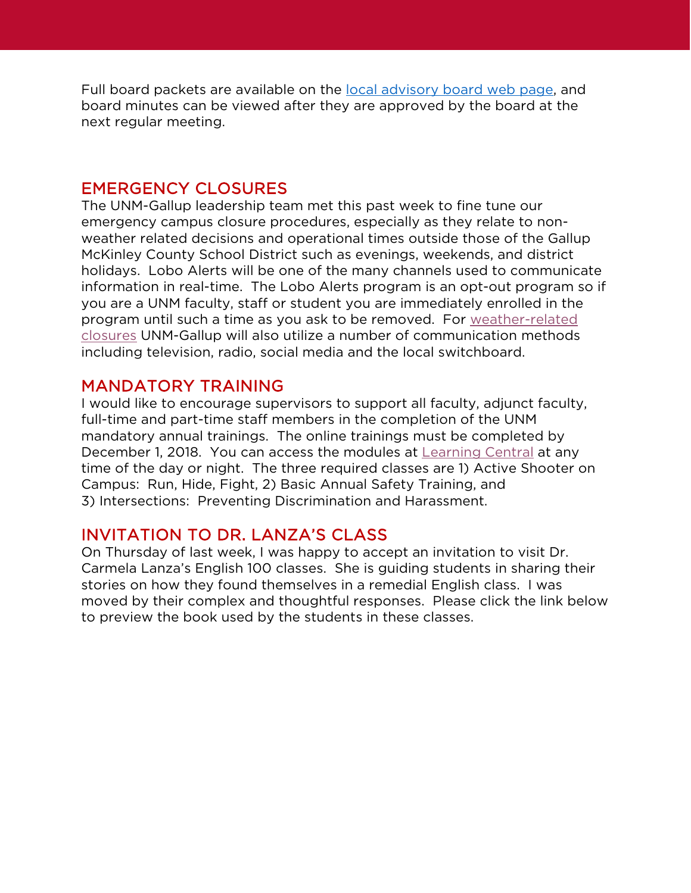Full board packets are available on the [local advisory board web page,](https://www.gallup.unm.edu/administration/localboard/) and board minutes can be viewed after they are approved by the board at the next regular meeting.

#### EMERGENCY CLOSURES

The UNM-Gallup leadership team met this past week to fine tune our emergency campus closure procedures, especially as they relate to nonweather related decisions and operational times outside those of the Gallup McKinley County School District such as evenings, weekends, and district holidays. Lobo Alerts will be one of the many channels used to communicate information in real-time. The Lobo Alerts program is an opt-out program so if you are a UNM faculty, staff or student you are immediately enrolled in the program until such a time as you ask to be removed. For [weather-related](https://unmgnewsevents.blogspot.com/2018/10/weather-related-delays-closures.html)  [closures](https://unmgnewsevents.blogspot.com/2018/10/weather-related-delays-closures.html) UNM-Gallup will also utilize a number of communication methods including television, radio, social media and the local switchboard.

#### MANDATORY TRAINING

I would like to encourage supervisors to support all faculty, adjunct faculty, full-time and part-time staff members in the completion of the UNM mandatory annual trainings. The online trainings must be completed by December 1, 2018. You can access the modules at [Learning Central](https://learningcentral.health.unm.edu/learning/user/login.jsp) at any time of the day or night. The three required classes are 1) Active Shooter on Campus: Run, Hide, Fight, 2) Basic Annual Safety Training, and 3) Intersections: Preventing Discrimination and Harassment.

### INVITATION TO DR. LANZA'S CLASS

On Thursday of last week, I was happy to accept an invitation to visit Dr. Carmela Lanza's English 100 classes. She is guiding students in sharing their stories on how they found themselves in a remedial English class. I was moved by their complex and thoughtful responses. Please click the link below to preview the book used by the students in these classes.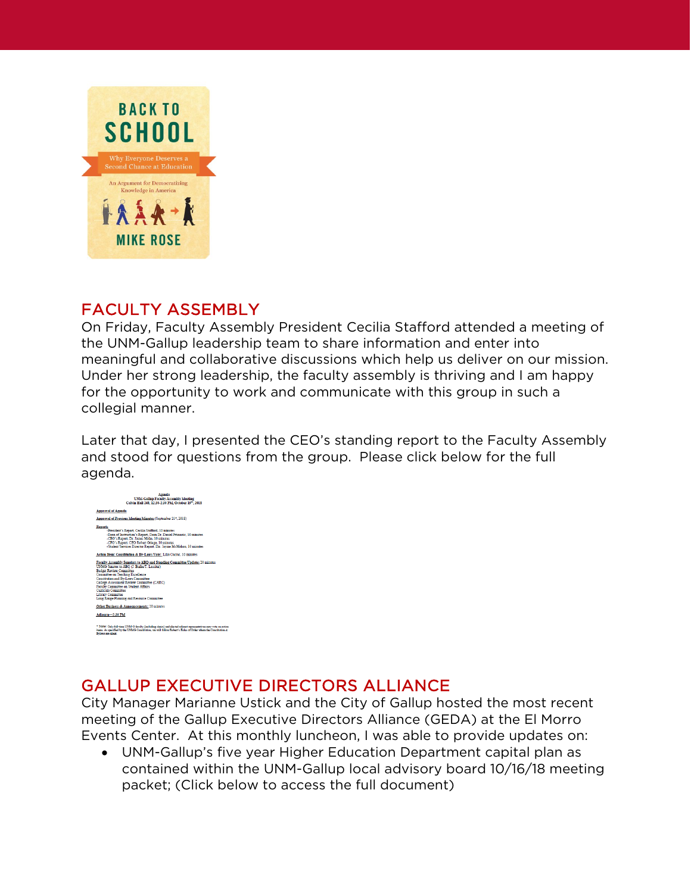

## FACULTY ASSEMBLY

On Friday, Faculty Assembly President Cecilia Stafford attended a meeting of the UNM-Gallup leadership team to share information and enter into meaningful and collaborative discussions which help us deliver on our mission. Under her strong leadership, the faculty assembly is thriving and I am happy for the opportunity to work and communicate with this group in such a collegial manner.

Later that day, I presented the CEO's standing report to the Faculty Assembly and stood for questions from the group. Please click below for the full [agenda.](https://www.gallup.unm.edu/pdfs/AgendaforFAMeetingOct19th2018.pdf)



GALLUP EXECUTIVE DIRECTORS ALLIANCE

City Manager Marianne Ustick and the City of Gallup hosted the most recent meeting of the Gallup Executive Directors Alliance (GEDA) at the El Morro Events Center. At this monthly luncheon, I was able to provide updates on:

• UNM-Gallup's five year Higher Education Department capital plan as contained within the UNM-Gallup local advisory board 10/16/18 meeting packet; (Click below to access the full document)